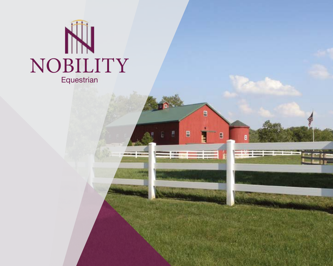



B

**PERSONAL MODE BURNINGHAM** 

 $\blacksquare$ 

B

**STERN** 

**COMMUNITY** 

----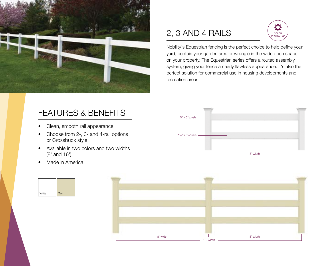

#### FEATURES & BENEFITS

- Clean, smooth rail appearance
- Choose from 2-, 3- and 4-rail options or Crossbuck style
- Available in two colors and two widths (8' and 16')
- Made in America





## 2, 3 AND 4 RAILS



Nobility's Equestrian fencing is the perfect choice to help define your yard, contain your garden area or wrangle in the wide open space on your property. The Equestrian series offers a routed assembly system, giving your fence a nearly flawless appearance. It's also the perfect solution for commercial use in housing developments and recreation areas.

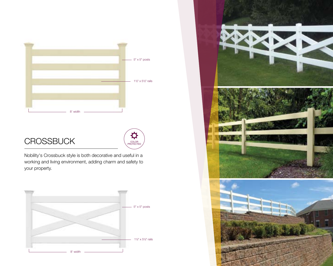

# $CROSSBUCK$

Nobility's Crossbuck style is both decorative and useful in a working and living environment, adding charm and safety to your property.